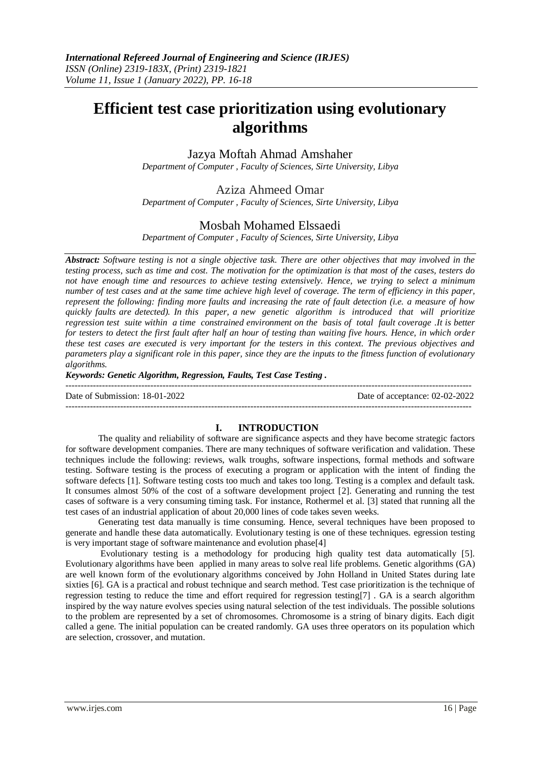# **Efficient test case prioritization using evolutionary algorithms**

## Jazya Moftah Ahmad Amshaher

*Department of Computer , Faculty of Sciences, Sirte University, Libya*

## Aziza Ahmeed Omar

*Department of Computer , Faculty of Sciences, Sirte University, Libya*

## Mosbah Mohamed Elssaedi

*Department of Computer , Faculty of Sciences, Sirte University, Libya*

*Abstract: Software testing is not a single objective task. There are other objectives that may involved in the testing process, such as time and cost. The motivation for the optimization is that most of the cases, testers do not have enough time and resources to achieve testing extensively. Hence, we trying to select a minimum number of test cases and at the same time achieve high level of coverage. The term of efficiency in this paper, represent the following: finding more faults and increasing the rate of fault detection (i.e. a measure of how quickly faults are detected). In this paper, a new genetic algorithm is introduced that will prioritize regression test suite within a time constrained environment on the basis of total fault coverage .It is better for testers to detect the first fault after half an hour of testing than waiting five hours. Hence, in which order these test cases are executed is very important for the testers in this context. The previous objectives and parameters play a significant role in this paper, since they are the inputs to the fitness function of evolutionary algorithms.*

*Keywords: Genetic Algorithm, Regression, Faults, Test Case Testing .*

--------------------------------------------------------------------------------------------------------------------------------------

Date of Submission: 18-01-2022 Date of acceptance: 02-02-2022 --------------------------------------------------------------------------------------------------------------------------------------

## **I. INTRODUCTION**

The quality and reliability of software are significance aspects and they have become strategic factors for software development companies. There are many techniques of software verification and validation. These techniques include the following: reviews, walk troughs, software inspections, formal methods and software testing. Software testing is the process of executing a program or application with the intent of finding the software defects [1]. Software testing costs too much and takes too long. Testing is a complex and default task. It consumes almost 50% of the cost of a software development project [2]. Generating and running the test cases of software is a very consuming timing task. For instance, Rothermel et al. [3] stated that running all the test cases of an industrial application of about 20,000 lines of code takes seven weeks.

Generating test data manually is time consuming. Hence, several techniques have been proposed to generate and handle these data automatically. Evolutionary testing is one of these techniques. egression testing is very important stage of software maintenance and evolution phase<sup>[4]</sup>

Evolutionary testing is a methodology for producing high quality test data automatically [5]. Evolutionary algorithms have been applied in many areas to solve real life problems. Genetic algorithms (GA) are well known form of the evolutionary algorithms conceived by John Holland in United States during late sixties [6]. GA is a practical and robust technique and search method. Test case prioritization is the technique of regression testing to reduce the time and effort required for regression testing[7] . GA is a search algorithm inspired by the way nature evolves species using natural selection of the test individuals. The possible solutions to the problem are represented by a set of chromosomes. Chromosome is a string of binary digits. Each digit called a gene. The initial population can be created randomly. GA uses three operators on its population which are selection, crossover, and mutation.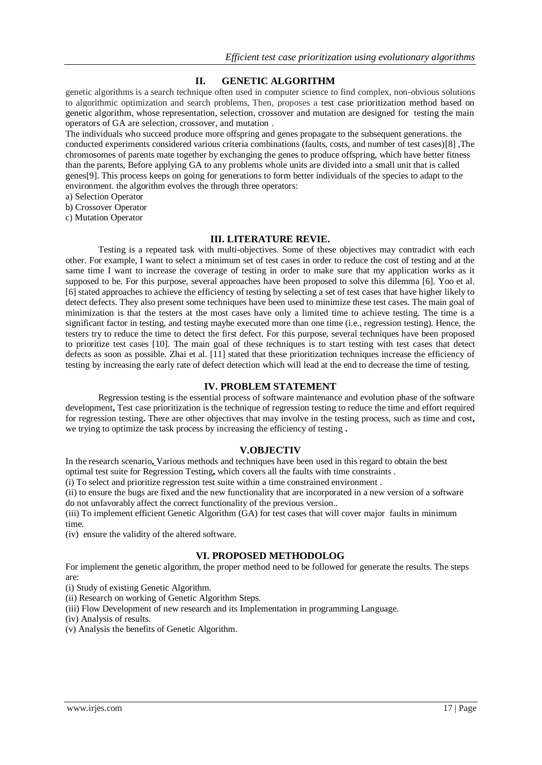## **II. GENETIC ALGORITHM**

genetic algorithms is a search technique often used in computer science to find complex, non-obvious solutions to algorithmic optimization and search problems, Then, proposes a test case prioritization method based on genetic algorithm, whose representation, selection, crossover and mutation are designed for testing the main operators of GA are selection, crossover, and mutation .

The individuals who succeed produce more offspring and genes propagate to the subsequent generations. the conducted experiments considered various criteria combinations (faults, costs, and number of test cases)[8] ,The chromosomes of parents mate together by exchanging the genes to produce offspring, which have better fitness than the parents, Before applying GA to any problems whole units are divided into a small unit that is called genes[9]. This process keeps on going for generations to form better individuals of the species to adapt to the environment. the algorithm evolves the through three operators:

a) Selection Operator

b) Crossover Operator

c) Mutation Operator

#### **III. LITERATURE REVIE.**

Testing is a repeated task with multi-objectives. Some of these objectives may contradict with each other. For example, I want to select a minimum set of test cases in order to reduce the cost of testing and at the same time I want to increase the coverage of testing in order to make sure that my application works as it supposed to be. For this purpose, several approaches have been proposed to solve this dilemma [6]. Yoo et al. [\[6\] s](#page-2-0)tated approaches to achieve the efficiency of testing by selecting a set of test cases that have higher likely to detect defects. They also present some techniques have been used to minimize these test cases. The main goal of minimization is that the testers at the most cases have only a limited time to achieve testing. The time is a significant factor in testing, and testing maybe executed more than one time (i.e., regression testing). Hence, the testers try to reduce the time to detect the first defect. For this purpose, several techniques have been proposed to prioritize test cases [10]. The main goal of these techniques is to start testing with test cases that detect defects as soon as possible. Zhai et al. [11] stated that these prioritization techniques increase the efficiency of testing by increasing the early rate of defect detection which will lead at the end to decrease the time of testing.

#### **IV. PROBLEM STATEMENT**

Regression testing is the essential process of software maintenance and evolution phase of the software development**,** Test case prioritization is the technique of regression testing to reduce the time and effort required for regression testing**.** There are other objectives that may involve in the testing process, such as time and cost**,** we trying to optimize the task process by increasing the efficiency of testing **.**

#### **V.OBJECTIV**

In the research scenario**,** Various methods and techniques have been used in this regard to obtain the best optimal test suite for Regression Testing**,** which covers all the faults with time constraints .

(i) To select and prioritize regression test suite within a time constrained environment .

(ii) to ensure the bugs are fixed and the new functionality that are incorporated in a new version of a software do not unfavorably affect the correct functionality of the previous version..

(iii) To implement efficient Genetic Algorithm (GA) for test cases that will cover major faults in minimum time.

(iv) ensure the validity of the altered software.

#### **VI. PROPOSED METHODOLOG**

For implement the genetic algorithm, the proper method need to be followed for generate the results. The steps are:

(i) Study of existing Genetic Algorithm.

(ii) Research on working of Genetic Algorithm Steps.

(iii) Flow Development of new research and its Implementation in programming Language.

(iv) Analysis of results.

(v) Analysis the benefits of Genetic Algorithm.